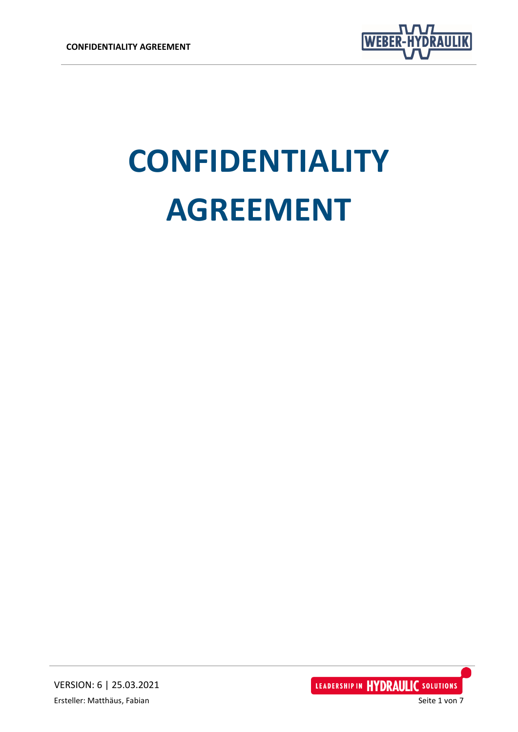

# **CONFIDENTIALITY AGREEMENT**

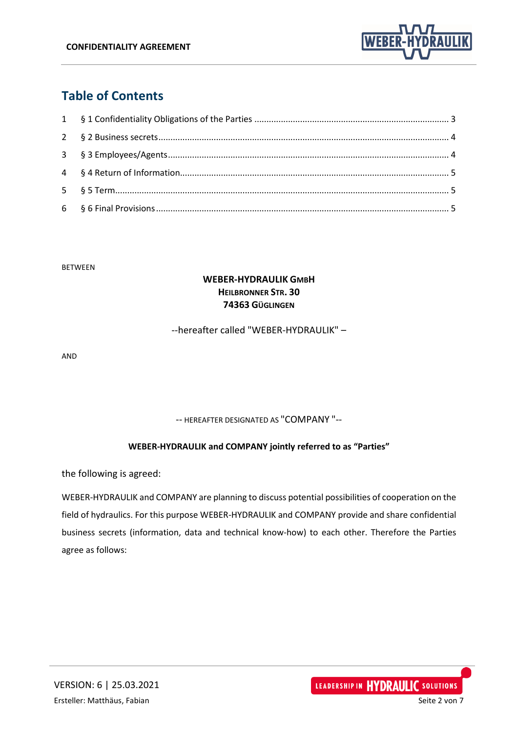

# **Table of Contents**

#### BETWEEN

#### **WEBER-HYDRAULIK GMBH HEILBRONNER STR. 30 74363 GÜGLINGEN**

--hereafter called "WEBER-HYDRAULIK" –

AND

-- HEREAFTER DESIGNATED AS "COMPANY "--

#### **WEBER-HYDRAULIK and COMPANY jointly referred to as "Parties"**

the following is agreed:

WEBER-HYDRAULIK and COMPANY are planning to discuss potential possibilities of cooperation on the field of hydraulics. For this purpose WEBER-HYDRAULIK and COMPANY provide and share confidential business secrets (information, data and technical know-how) to each other. Therefore the Parties agree as follows:

LEADERSHIP IN HYDRAULIC SOLUTIONS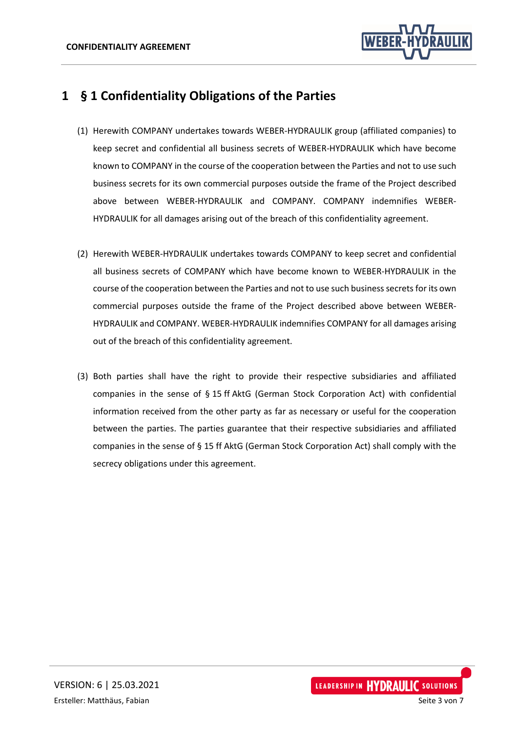

## <span id="page-2-0"></span>**1 § 1 Confidentiality Obligations of the Parties**

- (1) Herewith COMPANY undertakes towards WEBER-HYDRAULIK group (affiliated companies) to keep secret and confidential all business secrets of WEBER-HYDRAULIK which have become known to COMPANY in the course of the cooperation between the Parties and not to use such business secrets for its own commercial purposes outside the frame of the Project described above between WEBER-HYDRAULIK and COMPANY. COMPANY indemnifies WEBER-HYDRAULIK for all damages arising out of the breach of this confidentiality agreement.
- (2) Herewith WEBER-HYDRAULIK undertakes towards COMPANY to keep secret and confidential all business secrets of COMPANY which have become known to WEBER-HYDRAULIK in the course of the cooperation between the Parties and not to use such business secrets for its own commercial purposes outside the frame of the Project described above between WEBER-HYDRAULIK and COMPANY. WEBER-HYDRAULIK indemnifies COMPANY for all damages arising out of the breach of this confidentiality agreement.
- (3) Both parties shall have the right to provide their respective subsidiaries and affiliated companies in the sense of § 15 ff AktG (German Stock Corporation Act) with confidential information received from the other party as far as necessary or useful for the cooperation between the parties. The parties guarantee that their respective subsidiaries and affiliated companies in the sense of § 15 ff AktG (German Stock Corporation Act) shall comply with the secrecy obligations under this agreement.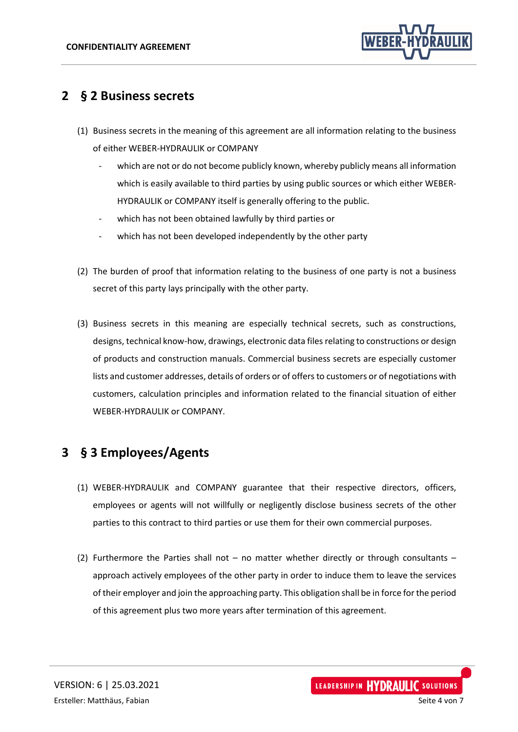

### <span id="page-3-0"></span>**2 § 2 Business secrets**

- (1) Business secrets in the meaning of this agreement are all information relating to the business of either WEBER-HYDRAULIK or COMPANY
	- which are not or do not become publicly known, whereby publicly means all information which is easily available to third parties by using public sources or which either WEBER-HYDRAULIK or COMPANY itself is generally offering to the public.
	- which has not been obtained lawfully by third parties or
	- which has not been developed independently by the other party
- (2) The burden of proof that information relating to the business of one party is not a business secret of this party lays principally with the other party.
- (3) Business secrets in this meaning are especially technical secrets, such as constructions, designs, technical know-how, drawings, electronic data files relating to constructions or design of products and construction manuals. Commercial business secrets are especially customer lists and customer addresses, details of orders or of offers to customers or of negotiations with customers, calculation principles and information related to the financial situation of either WEBER-HYDRAULIK or COMPANY.

## <span id="page-3-1"></span>**3 § 3 Employees/Agents**

- (1) WEBER-HYDRAULIK and COMPANY guarantee that their respective directors, officers, employees or agents will not willfully or negligently disclose business secrets of the other parties to this contract to third parties or use them for their own commercial purposes.
- (2) Furthermore the Parties shall not no matter whether directly or through consultants approach actively employees of the other party in order to induce them to leave the services of their employer and join the approaching party. This obligation shall be in force for the period of this agreement plus two more years after termination of this agreement.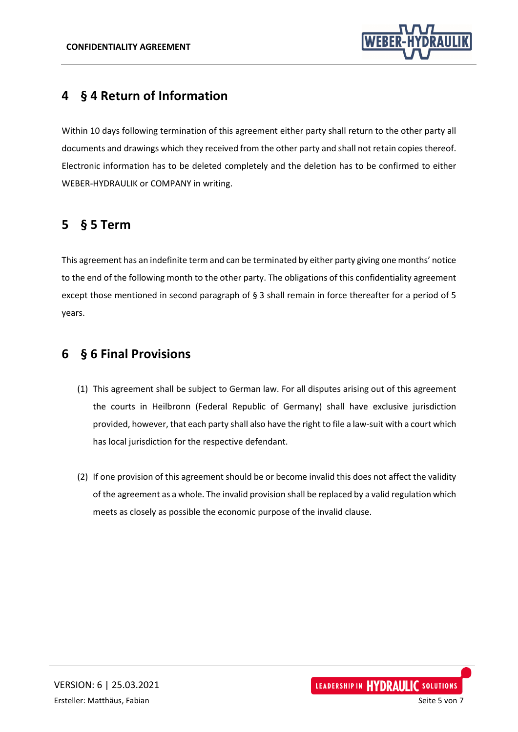

## <span id="page-4-0"></span>**4 § 4 Return of Information**

Within 10 days following termination of this agreement either party shall return to the other party all documents and drawings which they received from the other party and shall not retain copies thereof. Electronic information has to be deleted completely and the deletion has to be confirmed to either WEBER-HYDRAULIK or COMPANY in writing.

### <span id="page-4-1"></span>**5 § 5 Term**

This agreement has an indefinite term and can be terminated by either party giving one months' notice to the end of the following month to the other party. The obligations of this confidentiality agreement except those mentioned in second paragraph of § 3 shall remain in force thereafter for a period of 5 years.

### <span id="page-4-2"></span>**6 § 6 Final Provisions**

- (1) This agreement shall be subject to German law. For all disputes arising out of this agreement the courts in Heilbronn (Federal Republic of Germany) shall have exclusive jurisdiction provided, however, that each party shall also have the right to file a law-suit with a court which has local jurisdiction for the respective defendant.
- (2) If one provision of this agreement should be or become invalid this does not affect the validity of the agreement as a whole. The invalid provision shall be replaced by a valid regulation which meets as closely as possible the economic purpose of the invalid clause.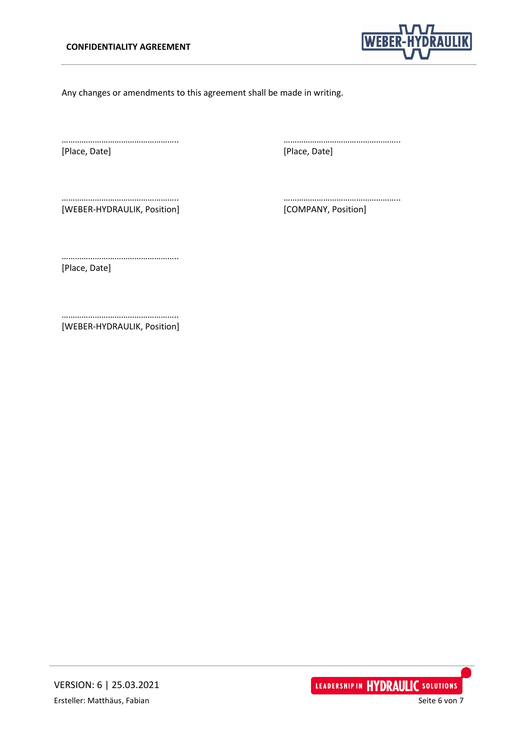

Any changes or amendments to this agreement shall be made in writing.

[Place, Date] [Place, Date]

…………………………………………….. ……………………………………………..

[WEBER-HYDRAULIK, Position] [COMPANY, Position]

…………………………………………….. ……………………………………………..

…………………………………………….. [Place, Date]

…………………………………………….. [WEBER-HYDRAULIK, Position]